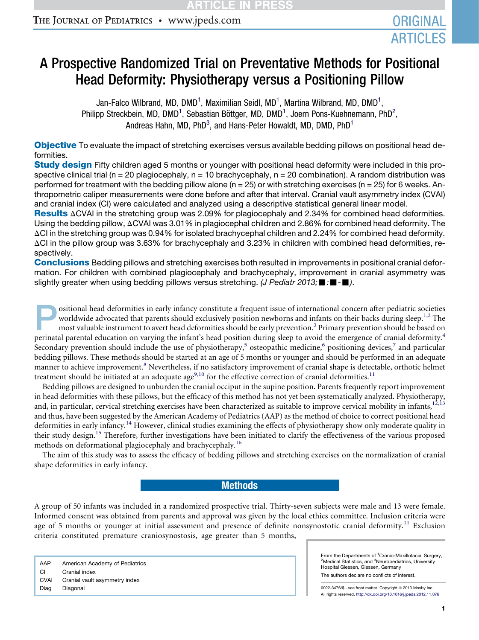# A Prospective Randomized Trial on Preventative Methods for Positional Head Deformity: Physiotherapy versus a Positioning Pillow

Jan-Falco Wilbrand, MD, DMD $^{\rm 1}$ , Maximilian Seidl, MD $^{\rm 1}$ , Martina Wilbrand, MD, DMD $^{\rm 1}$ , Philipp Streckbein, MD, DMD<sup>1</sup>, Sebastian Böttger, MD, DMD<sup>1</sup>, Joern Pons-Kuehnemann, PhD<sup>2</sup>, Andreas Hahn, MD, PhD<sup>3</sup>, and Hans-Peter Howaldt, MD, DMD, PhD<sup>1</sup>

**Objective** To evaluate the impact of stretching exercises versus available bedding pillows on positional head deformities.

**Study design Fifty children aged 5 months or younger with positional head deformity were included in this pro**spective clinical trial (n = 20 plagiocephaly, n = 10 brachycephaly, n = 20 combination). A random distribution was performed for treatment with the bedding pillow alone ( $n = 25$ ) or with stretching exercises ( $n = 25$ ) for 6 weeks. Anthropometric caliper measurements were done before and after that interval. Cranial vault asymmetry index (CVAI) and cranial index (CI) were calculated and analyzed using a descriptive statistical general linear model.

Results  $\Delta$ CVAI in the stretching group was 2.09% for plagiocephaly and 2.34% for combined head deformities. Using the bedding pillow,  $\Delta$ CVAI was 3.01% in plagiocephal children and 2.86% for combined head deformity. The  $\Delta$ CI in the stretching group was 0.94% for isolated brachycephal children and 2.24% for combined head deformity.  $\Delta$ CI in the pillow group was 3.63% for brachycephaly and 3.23% in children with combined head deformities, respectively.

Conclusions Bedding pillows and stretching exercises both resulted in improvements in positional cranial deformation. For children with combined plagiocephaly and brachycephaly, improvement in cranial asymmetry was slightly greater when using bedding pillows versus stretching. *(J Pediatr 2013;*  $\blacksquare$ :  $\blacksquare$ *)*.

P ositional head deformities in early infancy constitute a frequent issue of international concern after pediatric societies worldwide advocated that parents should exclusively position newborns and infants on their backs during sleep.<sup>[1,2](#page-4-0)</sup> The most valuable instrument to avert head deformities should be early prevention.<sup>[3](#page-4-0)</sup> Primary prevention should be based on perinatal parental education on varying the infant's head position during sleep to avoid the emergence of cranial deformity.<sup>[4](#page-4-0)</sup> Secondary prevention should include the use of physiotherapy,<sup>[5](#page-4-0)</sup> osteopathic medicine,<sup>[6](#page-4-0)</sup> positioning devices,<sup>[7](#page-4-0)</sup> and particular bedding pillows. These methods should be started at an age of 5 months or younger and should be performed in an adequate manner to achieve improvement.<sup>[8](#page-4-0)</sup> Nevertheless, if no satisfactory improvement of cranial shape is detectable, orthotic helmet treatment should be initiated at an adequate age<sup>[9,10](#page-4-0)</sup> for the effective correction of cranial deformities.<sup>[11](#page-4-0)</sup>

Bedding pillows are designed to unburden the cranial occiput in the supine position. Parents frequently report improvement in head deformities with these pillows, but the efficacy of this method has not yet been systematically analyzed. Physiotherapy, and, in particular, cervical stretching exercises have been characterized as suitable to improve cervical mobility in infants,<sup>[12,13](#page-4-0)</sup> and thus, have been suggested by the American Academy of Pediatrics (AAP) as the method of choice to correct positional head deformities in early infancy.<sup>[14](#page-4-0)</sup> However, clinical studies examining the effects of physiotherapy show only moderate quality in their study design.<sup>[15](#page-4-0)</sup> Therefore, further investigations have been initiated to clarify the effectiveness of the various proposed methods on deformational plagiocephaly and brachycephaly.[16](#page-4-0)

The aim of this study was to assess the efficacy of bedding pillows and stretching exercises on the normalization of cranial shape deformities in early infancy.

### **Methods**

A group of 50 infants was included in a randomized prospective trial. Thirty-seven subjects were male and 13 were female. Informed consent was obtained from parents and approval was given by the local ethics committee. Inclusion criteria were age of 5 months or younger at initial assessment and presence of definite nonsynostotic cranial deformity.<sup>[11](#page-4-0)</sup> Exclusion criteria constituted premature craniosynostosis, age greater than 5 months,

AAP American Academy of Pediatrics CI Cranial index CVAI Cranial vault asymmetry index Diag Diagonal

From the Departments of <sup>1</sup>Cranio-Maxillofacial Surgery,<br><sup>2</sup>Medical Statistics, and <sup>3</sup>Neuropediatrics, University Hospital Giessen, Giessen, Germany

The authors declare no conflicts of interest.

0022-3476/\$ - see front matter. Copyright © 2013 Mosby Inc. All rights reserved. <http://dx.doi.org/10.1016/j.jpeds.2012.11.076>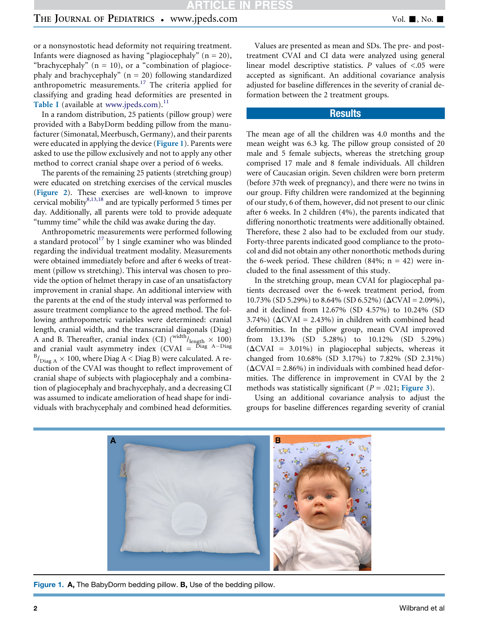<span id="page-1-0"></span>or a nonsynostotic head deformity not requiring treatment. Infants were diagnosed as having "plagiocephaly"  $(n = 20)$ , "brachycephaly"  $(n = 10)$ , or a "combination of plagiocephaly and brachycephaly"  $(n = 20)$  following standardized anthropometric measurements.<sup>[17](#page-4-0)</sup> The criteria applied for classifying and grading head deformities are presented in [Table I](#page-6-0) (available at [www.jpeds.com](http://www.jpeds.com)).<sup>[11](#page-4-0)</sup>

In a random distribution, 25 patients (pillow group) were provided with a BabyDorm bedding pillow from the manufacturer (Simonatal, Meerbusch, Germany), and their parents were educated in applying the device (Figure 1). Parents were asked to use the pillow exclusively and not to apply any other method to correct cranial shape over a period of 6 weeks.

The parents of the remaining 25 patients (stretching group) were educated on stretching exercises of the cervical muscles ([Figure 2](#page-2-0)). These exercises are well-known to improve cervical mobility $8,13,18$  and are typically performed 5 times per day. Additionally, all parents were told to provide adequate "tummy time" while the child was awake during the day.

Anthropometric measurements were performed following a standard protocol $^{17}$  $^{17}$  $^{17}$  by 1 single examiner who was blinded regarding the individual treatment modality. Measurements were obtained immediately before and after 6 weeks of treatment (pillow vs stretching). This interval was chosen to provide the option of helmet therapy in case of an unsatisfactory improvement in cranial shape. An additional interview with the parents at the end of the study interval was performed to assure treatment compliance to the agreed method. The following anthropometric variables were determined: cranial length, cranial width, and the transcranial diagonals (Diag) A and B. Thereafter, cranial index (CI) ( $\frac{\text{width}}{\text{length}} \times 100$ ) and cranial vault asymmetry index  $(CVAI = D)$ lag A-Diag  $^{\rm B}/_{\rm Diag\,A} \times$  100, where Diag A < Diag B) were calculated. A reduction of the CVAI was thought to reflect improvement of cranial shape of subjects with plagiocephaly and a combination of plagiocephaly and brachycephaly, and a decreasing CI was assumed to indicate amelioration of head shape for individuals with brachycephaly and combined head deformities.

Values are presented as mean and SDs. The pre- and posttreatment CVAI and CI data were analyzed using general linear model descriptive statistics. P values of  $\lt$  05 were accepted as significant. An additional covariance analysis adjusted for baseline differences in the severity of cranial deformation between the 2 treatment groups.

## **Results**

The mean age of all the children was 4.0 months and the mean weight was 6.3 kg. The pillow group consisted of 20 male and 5 female subjects, whereas the stretching group comprised 17 male and 8 female individuals. All children were of Caucasian origin. Seven children were born preterm (before 37th week of pregnancy), and there were no twins in our group. Fifty children were randomized at the beginning of our study, 6 of them, however, did not present to our clinic after 6 weeks. In 2 children (4%), the parents indicated that differing nonorthotic treatments were additionally obtained. Therefore, these 2 also had to be excluded from our study. Forty-three parents indicated good compliance to the protocol and did not obtain any other nonorthotic methods during the 6-week period. These children  $(84\%; n = 42)$  were included to the final assessment of this study.

In the stretching group, mean CVAI for plagiocephal patients decreased over the 6-week treatment period, from 10.73% (SD 5.29%) to 8.64% (SD 6.52%) ( $\Delta$ CVAI = 2.09%), and it declined from 12.67% (SD 4.57%) to 10.24% (SD 3.74%) ( $\Delta$ CVAI = 2.43%) in children with combined head deformities. In the pillow group, mean CVAI improved from 13.13% (SD 5.28%) to 10.12% (SD 5.29%)  $(\Delta$ CVAI = 3.01%) in plagiocephal subjects, whereas it changed from 10.68% (SD 3.17%) to 7.82% (SD 2.31%)  $(\Delta$ CVAI = 2.86%) in individuals with combined head deformities. The difference in improvement in CVAI by the 2 methods was statistically significant ( $P = .021$ ; [Figure 3](#page-3-0)).

Using an additional covariance analysis to adjust the groups for baseline differences regarding severity of cranial



Figure 1. A, The BabyDorm bedding pillow. B, Use of the bedding pillow.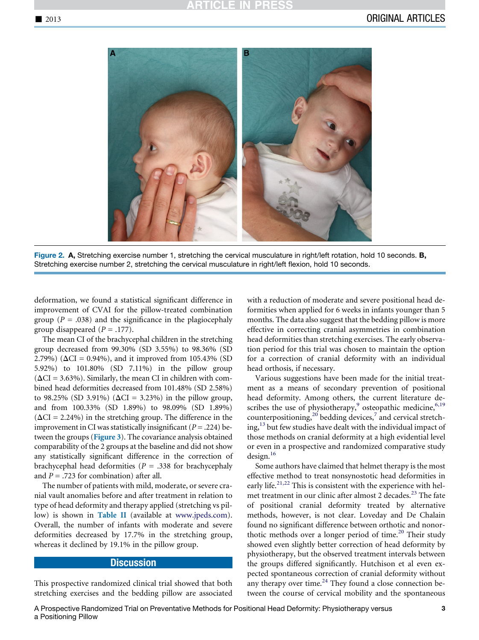<span id="page-2-0"></span>

Figure 2. A, Stretching exercise number 1, stretching the cervical musculature in right/left rotation, hold 10 seconds. B, Stretching exercise number 2, stretching the cervical musculature in right/left flexion, hold 10 seconds.

deformation, we found a statistical significant difference in improvement of CVAI for the pillow-treated combination group ( $P = .038$ ) and the significance in the plagiocephaly group disappeared  $(P = .177)$ .

The mean CI of the brachycephal children in the stretching group decreased from 99.30% (SD 3.55%) to 98.36% (SD 2.79%) ( $\Delta CI = 0.94$ %), and it improved from 105.43% (SD 5.92%) to 101.80% (SD 7.11%) in the pillow group  $(\Delta CI = 3.63\%)$ . Similarly, the mean CI in children with combined head deformities decreased from 101.48% (SD 2.58%) to 98.25% (SD 3.91%) ( $\Delta CI = 3.23%$ ) in the pillow group, and from 100.33% (SD 1.89%) to 98.09% (SD 1.89%)  $(\Delta CI = 2.24\%)$  in the stretching group. The difference in the improvement in CI was statistically insignificant ( $P = .224$ ) between the groups ([Figure 3](#page-3-0)). The covariance analysis obtained comparability of the 2 groups at the baseline and did not show any statistically significant difference in the correction of brachycephal head deformities ( $P = .338$  for brachycephaly and  $P = .723$  for combination) after all.

The number of patients with mild, moderate, or severe cranial vault anomalies before and after treatment in relation to type of head deformity and therapy applied (stretching vs pillow) is shown in [Table II](#page-6-0) (available at [www.jpeds.com\)](http://www.jpeds.com). Overall, the number of infants with moderate and severe deformities decreased by 17.7% in the stretching group, whereas it declined by 19.1% in the pillow group.

#### **Discussion**

This prospective randomized clinical trial showed that both stretching exercises and the bedding pillow are associated

with a reduction of moderate and severe positional head deformities when applied for 6 weeks in infants younger than 5 months. The data also suggest that the bedding pillow is more effective in correcting cranial asymmetries in combination head deformities than stretching exercises. The early observation period for this trial was chosen to maintain the option for a correction of cranial deformity with an individual head orthosis, if necessary.

Various suggestions have been made for the initial treatment as a means of secondary prevention of positional head deformity. Among others, the current literature de-scribes the use of physiotherapy,<sup>[9](#page-4-0)</sup> osteopathic medicine,<sup>[6,19](#page-4-0)</sup> counterpositioning,<sup>[20](#page-4-0)</sup> bedding devices,<sup>[7](#page-4-0)</sup> and cervical stretch- $ing<sub>13</sub>$  $ing<sub>13</sub>$  $ing<sub>13</sub>$  but few studies have dealt with the individual impact of those methods on cranial deformity at a high evidential level or even in a prospective and randomized comparative study design.<sup>[16](#page-4-0)</sup>

Some authors have claimed that helmet therapy is the most effective method to treat nonsynostotic head deformities in early life.<sup>[21,22](#page-4-0)</sup> This is consistent with the experience with hel-met treatment in our clinic after almost 2 decades.<sup>[23](#page-4-0)</sup> The fate of positional cranial deformity treated by alternative methods, however, is not clear. Loveday and De Chalain found no significant difference between orthotic and nonor-thotic methods over a longer period of time.<sup>[20](#page-4-0)</sup> Their study showed even slightly better correction of head deformity by physiotherapy, but the observed treatment intervals between the groups differed significantly. Hutchison et al even expected spontaneous correction of cranial deformity without any therapy over time. $^{24}$  $^{24}$  $^{24}$  They found a close connection between the course of cervical mobility and the spontaneous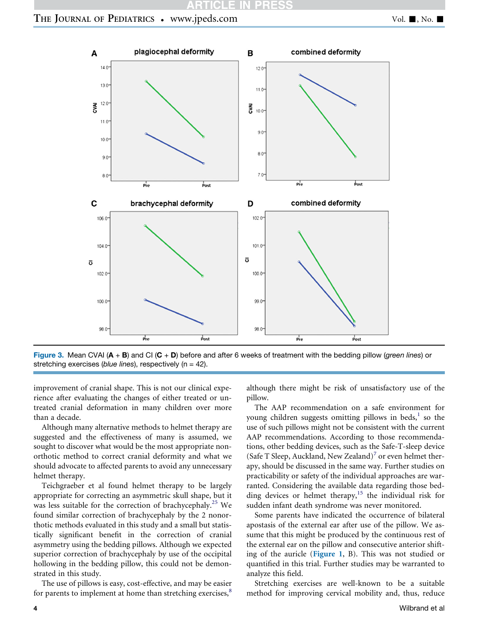## **CLE IN PR**

# <span id="page-3-0"></span>THE JOURNAL OF PEDIATRICS . www.jpeds.com Vol. 1, No. 1



Figure 3. Mean CVAI (A + B) and CI (C + D) before and after 6 weeks of treatment with the bedding pillow (*green lines*) or stretching exercises (*blue lines*), respectively (n = 42).

improvement of cranial shape. This is not our clinical experience after evaluating the changes of either treated or untreated cranial deformation in many children over more than a decade.

Although many alternative methods to helmet therapy are suggested and the effectiveness of many is assumed, we sought to discover what would be the most appropriate nonorthotic method to correct cranial deformity and what we should advocate to affected parents to avoid any unnecessary helmet therapy.

Teichgraeber et al found helmet therapy to be largely appropriate for correcting an asymmetric skull shape, but it was less suitable for the correction of brachycephaly.<sup>[25](#page-4-0)</sup> We found similar correction of brachycephaly by the 2 nonorthotic methods evaluated in this study and a small but statistically significant benefit in the correction of cranial asymmetry using the bedding pillows. Although we expected superior correction of brachycephaly by use of the occipital hollowing in the bedding pillow, this could not be demonstrated in this study.

The use of pillows is easy, cost-effective, and may be easier for parents to implement at home than stretching exercises,<sup>[8](#page-4-0)</sup>

although there might be risk of unsatisfactory use of the pillow.

The AAP recommendation on a safe environment for young children suggests omitting pillows in beds, $^{1}$  $^{1}$  $^{1}$  so the use of such pillows might not be consistent with the current AAP recommendations. According to those recommendations, other bedding devices, such as the Safe-T-sleep device (Safe T Sleep, Auckland, New Zealand)<sup>[7](#page-4-0)</sup> or even helmet therapy, should be discussed in the same way. Further studies on practicability or safety of the individual approaches are warranted. Considering the available data regarding those bedding devices or helmet therapy, $15$  the individual risk for sudden infant death syndrome was never monitored.

Some parents have indicated the occurrence of bilateral apostasis of the external ear after use of the pillow. We assume that this might be produced by the continuous rest of the external ear on the pillow and consecutive anterior shifting of the auricle ([Figure 1](#page-1-0), B). This was not studied or quantified in this trial. Further studies may be warranted to analyze this field.

Stretching exercises are well-known to be a suitable method for improving cervical mobility and, thus, reduce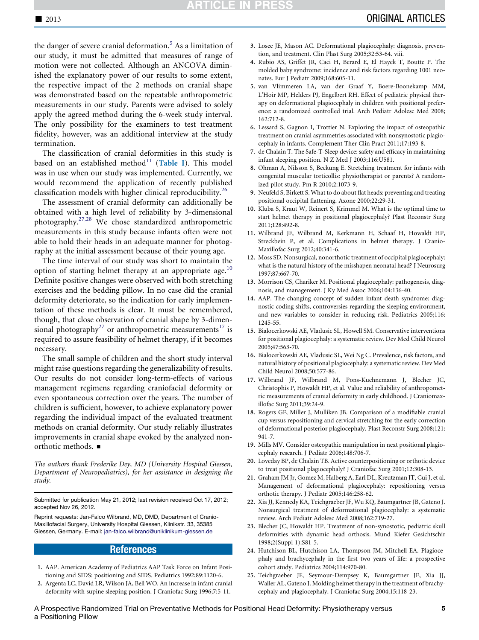<span id="page-4-0"></span>the danger of severe cranial deformation.<sup>5</sup> As a limitation of our study, it must be admitted that measures of range of motion were not collected. Although an ANCOVA diminished the explanatory power of our results to some extent, the respective impact of the 2 methods on cranial shape was demonstrated based on the repeatable anthropometric measurements in our study. Parents were advised to solely apply the agreed method during the 6-week study interval. The only possibility for the examiners to test treatment fidelity, however, was an additional interview at the study termination.

The classification of cranial deformities in this study is based on an established method $11$  ([Table I](#page-6-0)). This model was in use when our study was implemented. Currently, we would recommend the application of recently published classification models with higher clinical reproducibility.[26](#page-5-0)

The assessment of cranial deformity can additionally be obtained with a high level of reliability by 3-dimensional photography.[27,28](#page-5-0) We chose standardized anthropometric measurements in this study because infants often were not able to hold their heads in an adequate manner for photography at the initial assessment because of their young age.

The time interval of our study was short to maintain the option of starting helmet therapy at an appropriate age.<sup>10</sup> Definite positive changes were observed with both stretching exercises and the bedding pillow. In no case did the cranial deformity deteriorate, so the indication for early implementation of these methods is clear. It must be remembered, though, that close observation of cranial shape by 3-dimen-sional photography<sup>[27](#page-5-0)</sup> or anthropometric measurements<sup>17</sup> is required to assure feasibility of helmet therapy, if it becomes necessary.

The small sample of children and the short study interval might raise questions regarding the generalizability of results. Our results do not consider long-term-effects of various management regimens regarding craniofacial deformity or even spontaneous correction over the years. The number of children is sufficient, however, to achieve explanatory power regarding the individual impact of the evaluated treatment methods on cranial deformity. Our study reliably illustrates improvements in cranial shape evoked by the analyzed nonorthotic methods. ■

The authors thank Frederike Dey, MD (University Hospital Giessen, Department of Neuropediatrics), for her assistance in designing the study.

Submitted for publication May 21, 2012; last revision received Oct 17, 2012; accepted Nov 26, 2012.

Reprint requests: Jan-Falco Wilbrand, MD, DMD, Department of Cranio-Maxillofacial Surgery, University Hospital Giessen, Klinikstr. 33, 35385 Giessen, Germany. E-mail: jan-falco.wilbrand@uniklinikum-giessen.de

### References

- 1. AAP. American Academy of Pediatrics AAP Task Force on Infant Positioning and SIDS: positioning and SIDS. Pediatrics 1992;89:1120-6.
- 2. Argenta LC, David LR, Wilson JA, Bell WO. An increase in infant cranial deformity with supine sleeping position. J Craniofac Surg 1996;7:5-11.
- 3. Losee JE, Mason AC. Deformational plagiocephaly: diagnosis, prevention, and treatment. Clin Plast Surg 2005;32:53-64. viii.
- 4. Rubio AS, Griffet JR, Caci H, Berard E, El Hayek T, Boutte P. The molded baby syndrome: incidence and risk factors regarding 1001 neonates. Eur J Pediatr 2009;168:605-11.
- 5. van Vlimmeren LA, van der Graaf Y, Boere-Boonekamp MM, L'Hoir MP, Helders PJ, Engelbert RH. Effect of pediatric physical therapy on deformational plagiocephaly in children with positional preference: a randomized controlled trial. Arch Pediatr Adolesc Med 2008; 162:712-8.
- 6. Lessard S, Gagnon I, Trottier N. Exploring the impact of osteopathic treatment on cranial asymmetries associated with nonsynostotic plagiocephaly in infants. Complement Ther Clin Pract 2011;17:193-8.
- 7. de Chalain T. The Safe-T-Sleep device: safety and efficacy in maintaining infant sleeping position. N Z Med J 2003;116:U581.
- 8. Ohman A, Nilsson S, Beckung E. Stretching treatment for infants with congenital muscular torticollis: physiotherapist or parents? A randomized pilot study. Pm R 2010;2:1073-9.
- 9. Neufeld S, Birkett S. What to do about flat heads: preventing and treating positional occipital flattening. Axone 2000;22:29-31.
- 10. Kluba S, Kraut W, Reinert S, Krimmel M. What is the optimal time to start helmet therapy in positional plagiocephaly? Plast Reconstr Surg 2011;128:492-8.
- 11. Wilbrand JF, Wilbrand M, Kerkmann H, Schaaf H, Howaldt HP, Streckbein P, et al. Complications in helmet therapy. J Cranio-Maxillofac Surg 2012;40:341-6.
- 12. Moss SD. Nonsurgical, nonorthotic treatment of occipital plagiocephaly: what is the natural history of the misshapen neonatal head? J Neurosurg 1997;87:667-70.
- 13. Morrison CS, Chariker M. Positional plagiocephaly: pathogenesis, diagnosis, and management. J Ky Med Assoc 2006;104:136-40.
- 14. AAP. The changing concept of sudden infant death syndrome: diagnostic coding shifts, controversies regarding the sleeping environment, and new variables to consider in reducing risk. Pediatrics 2005;116: 1245-55.
- 15. Bialocerkowski AE, Vladusic SL, Howell SM. Conservative interventions for positional plagiocephaly: a systematic review. Dev Med Child Neurol 2005;47:563-70.
- 16. Bialocerkowski AE, Vladusic SL, Wei Ng C. Prevalence, risk factors, and natural history of positional plagiocephaly: a systematic review. Dev Med Child Neurol 2008;50:577-86.
- 17. Wilbrand JF, Wilbrand M, Pons-Kuehnemann J, Blecher JC, Christophis P, Howaldt HP, et al. Value and reliability of anthropometric measurements of cranial deformity in early childhood. J Craniomaxillofac Surg 2011;39:24-9.
- 18. Rogers GF, Miller J, Mulliken JB. Comparison of a modifiable cranial cup versus repositioning and cervical stretching for the early correction of deformational posterior plagiocephaly. Plast Reconstr Surg 2008;121: 941-7.
- 19. Mills MV. Consider osteopathic manipulation in next positional plagiocephaly research. J Pediatr 2006;148:706-7.
- 20. Loveday BP, de Chalain TB. Active counterpositioning or orthotic device to treat positional plagiocephaly? J Craniofac Surg 2001;12:308-13.
- 21. Graham JM Jr, Gomez M, Halberg A, Earl DL, Kreutzman JT, Cui J, et al. Management of deformational plagiocephaly: repositioning versus orthotic therapy. J Pediatr 2005;146:258-62.
- 22. Xia JJ, Kennedy KA, Teichgraeber JF, Wu KQ, Baumgartner JB, Gateno J. Nonsurgical treatment of deformational plagiocephaly: a systematic review. Arch Pediatr Adolesc Med 2008;162:719-27.
- 23. Blecher JC, Howaldt HP. Treatment of non-synostotic, pediatric skull deformities with dynamic head orthosis. Mund Kiefer Gesichtschir 1998;2(Suppl 1):S81-5.
- 24. Hutchison BL, Hutchison LA, Thompson JM, Mitchell EA. Plagiocephaly and brachycephaly in the first two years of life: a prospective cohort study. Pediatrics 2004;114:970-80.
- 25. Teichgraeber JF, Seymour-Dempsey K, Baumgartner JE, Xia JJ, Waller AL, Gateno J. Molding helmet therapy in the treatment of brachycephaly and plagiocephaly. J Craniofac Surg 2004;15:118-23.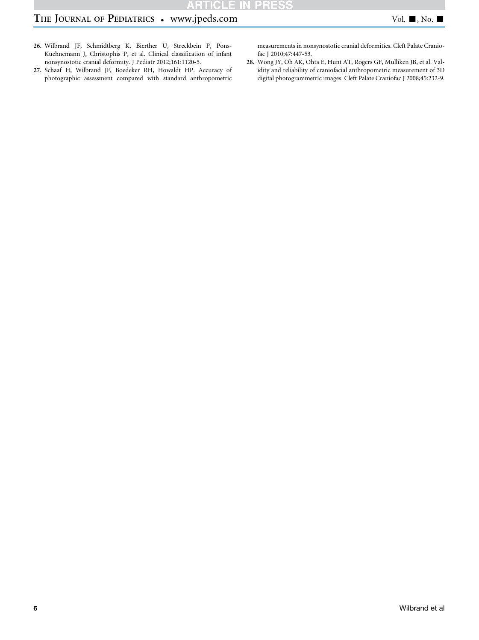# <span id="page-5-0"></span>THE JOURNAL OF PEDIATRICS . www.jpeds.com Vol. 1, No. 1

- 26. Wilbrand JF, Schmidtberg K, Bierther U, Streckbein P, Pons-Kuehnemann J, Christophis P, et al. Clinical classification of infant nonsynostotic cranial deformity. J Pediatr 2012;161:1120-5.
- 27. Schaaf H, Wilbrand JF, Boedeker RH, Howaldt HP. Accuracy of photographic assessment compared with standard anthropometric

measurements in nonsynostotic cranial deformities. Cleft Palate Craniofac J 2010;47:447-53.

28. Wong JY, Oh AK, Ohta E, Hunt AT, Rogers GF, Mulliken JB, et al. Validity and reliability of craniofacial anthropometric measurement of 3D digital photogrammetric images. Cleft Palate Craniofac J 2008;45:232-9.